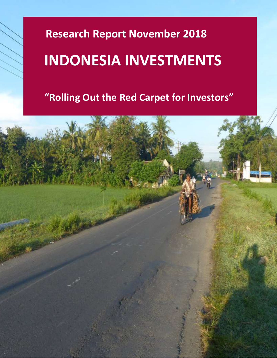# **Research Report November 2018**

# **INDONESIA INVESTMENTS**

 **"Rolling Out the Red Carpet for Investors"**

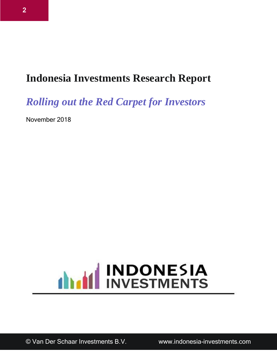## **Indonesia Investments Research Report**

*Rolling out the Red Carpet for Investors*

November 2018

# **ANTIFICATE SIA**

© Van Der Schaar Investments B.V. www.indonesia-investments.com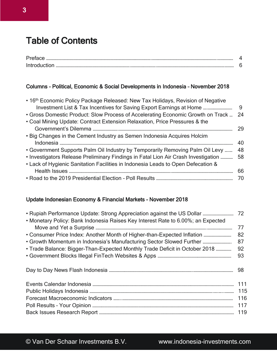## Table of Contents

| - |  |
|---|--|
|   |  |

#### Columns - Political, Economic & Social Developments in Indonesia – November 2018

| • 16th Economic Policy Package Released: New Tax Holidays, Revision of Negative        |    |
|----------------------------------------------------------------------------------------|----|
| Investment List & Tax Incentives for Saving Export Earnings at Home                    | 9  |
| • Gross Domestic Product: Slow Process of Accelerating Economic Growth on Track        | 24 |
| • Coal Mining Update: Contract Extension Relaxation, Price Pressures & the             |    |
|                                                                                        | 29 |
| • Big Changes in the Cement Industry as Semen Indonesia Acquires Holcim                | 40 |
| • Government Supports Palm Oil Industry by Temporarily Removing Palm Oil Levy          | 48 |
| • Investigators Release Preliminary Findings in Fatal Lion Air Crash Investigation  58 |    |
| • Lack of Hygienic Sanitation Facilities in Indonesia Leads to Open Defecation &       |    |
|                                                                                        | 66 |
|                                                                                        | 70 |

#### Update Indonesian Economy & Financial Markets – November 2018

| • Monetary Policy: Bank Indonesia Raises Key Interest Rate to 6.00%; an Expected |     |
|----------------------------------------------------------------------------------|-----|
|                                                                                  | 77  |
|                                                                                  | 82  |
| • Growth Momentum in Indonesia's Manufacturing Sector Slowed Further             | 87  |
| • Trade Balance: Bigger-Than-Expected Monthly Trade Deficit in October 2018      | 92  |
|                                                                                  | 93  |
|                                                                                  |     |
|                                                                                  | 98  |
|                                                                                  |     |
|                                                                                  | 111 |
|                                                                                  | 115 |
|                                                                                  | 116 |
|                                                                                  | 117 |
|                                                                                  | 119 |
|                                                                                  |     |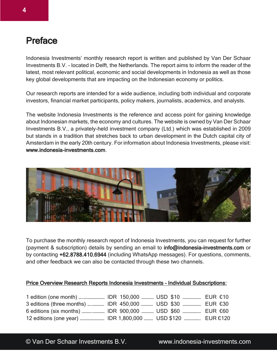### Preface

Indonesia Investments' monthly research report is written and published by Van Der Schaar Investments B.V. - located in Delft, the Netherlands. The report aims to inform the reader of the latest, most relevant political, economic and social developments in Indonesia as well as those key global developments that are impacting on the Indonesian economy or politics.

Our research reports are intended for a wide audience, including both individual and corporate investors, financial market participants, policy makers, journalists, academics, and analysts.

The website Indonesia Investments is the reference and access point for gaining knowledge about Indonesian markets, the economy and cultures. The website is owned by Van Der Schaar Investments B.V., a privately-held investment company (Ltd.) which was established in 2009 but stands in a tradition that stretches back to urban development in the Dutch capital city of Amsterdam in the early 20th century. For information about Indonesia Investments, please visit: www.indonesia-investments.com.



To purchase the monthly research report of Indonesia Investments, you can request for further (payment & subscription) details by sending an email to info@indonesia-investments.com or by contacting +62.8788.410.6944 (including WhatsApp messages). For questions, comments, and other feedback we can also be contacted through these two channels.

#### Price Overview Research Reports Indonesia Investments – Individual Subscriptions: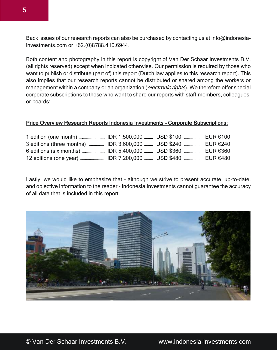Back issues of our research reports can also be purchased by contacting us at info@indonesiainvestments.com or +62.(0)8788.410.6944.

Both content and photography in this report is copyright of Van Der Schaar Investments B.V. (all rights reserved) except when indicated otherwise. Our permission is required by those who want to publish or distribute (part of) this report (Dutch law applies to this research report). This also implies that our research reports cannot be distributed or shared among the workers or management within a company or an organization (*electronic rights*). We therefore offer special corporate subscriptions to those who want to share our reports with staff-members, colleagues, or boards:

#### Price Overview Research Reports Indonesia Investments – Corporate Subscriptions:

|  | $E$ UR €100 |
|--|-------------|
|  | EUR €240    |
|  |             |
|  |             |

Lastly, we would like to emphasize that - although we strive to present accurate, up-to-date, and objective information to the reader - Indonesia Investments cannot guarantee the accuracy of all data that is included in this report.



© Van Der Schaar Investments B.V. www.indonesia-investments.com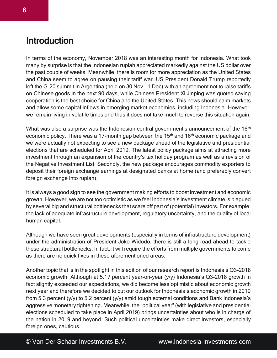### **Introduction**

In terms of the economy, November 2018 was an interesting month for Indonesia. What took many by surprise is that the Indonesian rupiah appreciated markedly against the US dollar over the past couple of weeks. Meanwhile, there is room for more appreciation as the United States and China seem to agree on pausing their tariff war. US President Donald Trump reportedly left the G-20 summit in Argentina (held on 30 Nov - 1 Dec) with an agreement not to raise tariffs on Chinese goods in the next 90 days, while Chinese President Xi Jinping was quoted saying cooperation is the best choice for China and the United States. This news should calm markets and allow some capital inflows in emerging market economies, including Indonesia. However, we remain living in volatile times and thus it does not take much to reverse this situation again.

What was also a surprise was the Indonesian central government's announcement of the 16<sup>th</sup> economic policy. There was a 17-month gap between the  $15<sup>th</sup>$  and  $16<sup>th</sup>$  economic package and we were actually not expecting to see a new package ahead of the legislative and presidential elections that are scheduled for April 2019. The latest policy package aims at attracting more investment through an expansion of the country's tax holiday program as well as a revision of the Negative Investment List. Secondly, the new package encourages commodity exporters to deposit their foreign exchange earnings at designated banks at home (and preferably convert foreign exchange into rupiah).

It is always a good sign to see the government making efforts to boost investment and economic growth. However, we are not too optimistic as we feel Indonesia's investment climate is plagued by several big and structural bottlenecks that scare off part of (potential) investors. For example, the lack of adequate infrastructure development, regulatory uncertainty, and the quality of local human capital.

Although we have seen great developments (especially in terms of infrastructure development) under the administration of President Joko Widodo, there is still a long road ahead to tackle these structural bottlenecks. In fact, it will require the efforts from multiple governments to come as there are no quick fixes in these aforementioned areas.

Another topic that is in the spotlight in this edition of our research report is Indonesia's Q3-2018 economic growth. Although at 5.17 percent year-on-year (y/y) Indonesia's Q3-2018 growth in fact slightly exceeded our expectations, we did become less optimistic about economic growth next year and therefore we decided to cut our outlook for Indonesia's economic growth in 2019 from 5.3 percent (y/y) to 5.2 percent (y/y) amid tough external conditions and Bank Indonesia's aggressive monetary tightening. Meanwhile, the "political year" (with legislative and presidential elections scheduled to take place in April 2019) brings uncertainties about who is in charge of the nation in 2019 and beyond. Such political uncertainties make direct investors, especially foreign ones, cautious.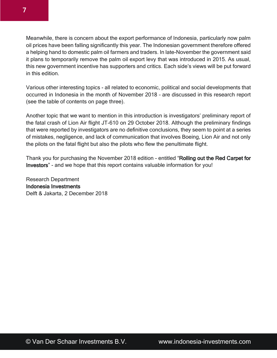7

Meanwhile, there is concern about the export performance of Indonesia, particularly now palm oil prices have been falling significantly this year. The Indonesian government therefore offered a helping hand to domestic palm oil farmers and traders. In late-November the government said it plans to temporarily remove the palm oil export levy that was introduced in 2015. As usual, this new government incentive has supporters and critics. Each side's views will be put forward in this edition.

Various other interesting topics - all related to economic, political and social developments that occurred in Indonesia in the month of November 2018 – are discussed in this research report (see the table of contents on page three).

Another topic that we want to mention in this introduction is investigators' preliminary report of the fatal crash of Lion Air flight JT-610 on 29 October 2018. Although the preliminary findings that were reported by investigators are no definitive conclusions, they seem to point at a series of mistakes, negligence, and lack of communication that involves Boeing, Lion Air and not only the pilots on the fatal flight but also the pilots who flew the penultimate flight.

Thank you for purchasing the November 2018 edition - entitled "Rolling out the Red Carpet for Investors" - and we hope that this report contains valuable information for you!

Research Department Indonesia Investments Delft & Jakarta, 2 December 2018